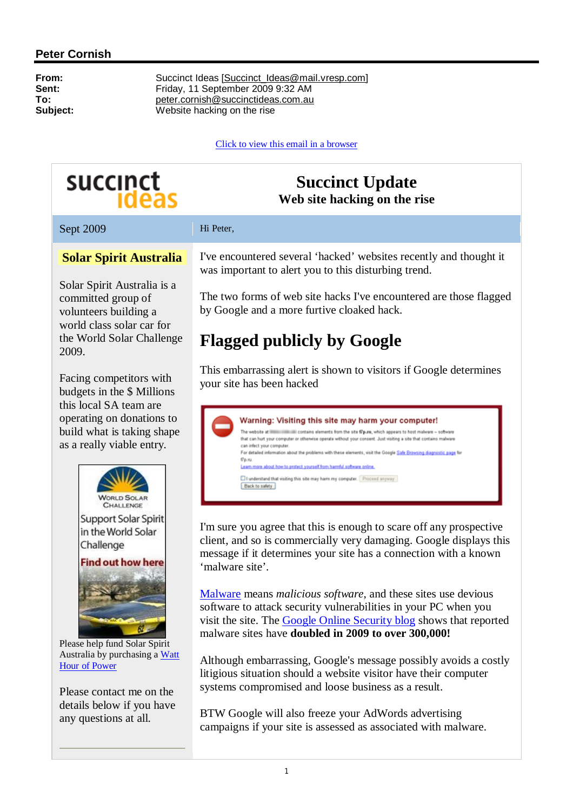## **Peter Cornish**

**From:** Succinct Ideas [[Succinct\\_Ideas@mail.vresp.com\]](mailto:Succinct_Ideas@mail.vresp.com) **Sent:** Friday, 11 September 2009 9:32 AM **To:** [peter.cornish@succinctideas.com.au](mailto:peter.cornish@succinctideas.com.au) **Subject:** Website hacking on the rise

### Click to view this email in a browser



# **Succinct Update**

**Web site hacking on the rise**

Sept 2009 Hi Peter,

## **Solar Spirit Australia**

Solar Spirit Australia is a committed group of volunteers building a world class solar car for the World Solar Challenge 2009.

Facing competitors with budgets in the \$ Millions this local SA team are operating on donations to build what is taking shape as a really viable entry.



Please help fund Solar Spirit Australia by purchasing a Watt Hour of Power

Please contact me on the details below if you have any questions at all.

I've encountered several 'hacked' websites recently and thought it was important to alert you to this disturbing trend.

The two forms of web site hacks I've encountered are those flagged by Google and a more furtive cloaked hack.

# **Flagged publicly by Google**

This embarrassing alert is shown to visitors if Google determines your site has been hacked



I'm sure you agree that this is enough to scare off any prospective client, and so is commercially very damaging. Google displays this message if it determines your site has a connection with a known 'malware site'.

Malware means *malicious software*, and these sites use devious software to attack security vulnerabilities in your PC when you visit the site. The Google Online Security blog shows that reported malware sites have **doubled in 2009 to over 300,000!**

Although embarrassing, Google's message possibly avoids a costly litigious situation should a website visitor have their computer systems compromised and loose business as a result.

BTW Google will also freeze your AdWords advertising campaigns if your site is assessed as associated with malware.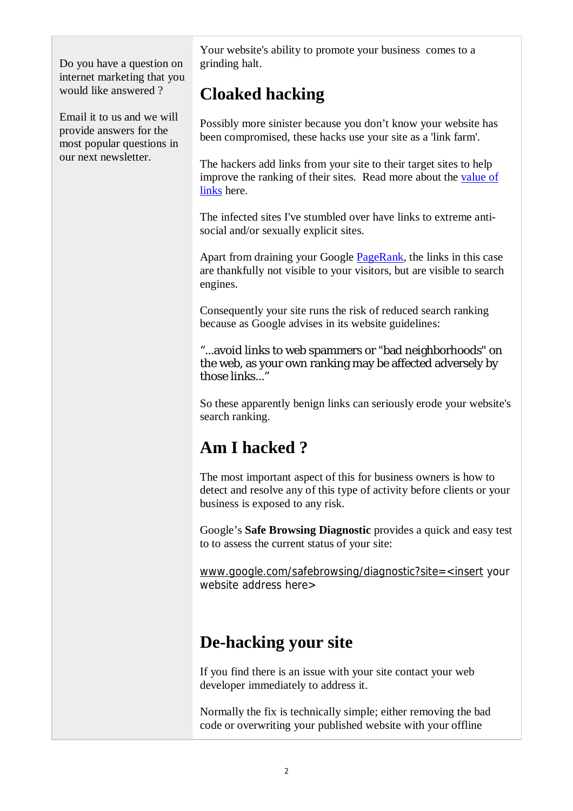Do you have a question on internet marketing that you would like answered ?

Email it to us and we will provide answers for the most popular questions in our next newsletter.

Your website's ability to promote your business comes to a grinding halt.

# **Cloaked hacking**

Possibly more sinister because you don't know your website has been compromised, these hacks use your site as a 'link farm'.

The hackers add links from your site to their target sites to help improve the ranking of their sites. Read more about the value of links here.

The infected sites I've stumbled over have links to extreme antisocial and/or sexually explicit sites.

Apart from draining your Google PageRank, the links in this case are thankfully not visible to your visitors, but are visible to search engines.

Consequently your site runs the risk of reduced search ranking because as Google advises in its website guidelines:

"...avoid links to web spammers or "bad neighborhoods" on the web, as your own ranking may be affected adversely by those links..."

So these apparently benign links can seriously erode your website's search ranking.

# **Am I hacked ?**

The most important aspect of this for business owners is how to detect and resolve any of this type of activity before clients or your business is exposed to any risk.

Google's **Safe Browsing Diagnostic** provides a quick and easy test to to assess the current status of your site:

[www.google.com/safebrowsing/diagnostic?site=<insert](http://www.google.com/safebrowsing/diagnostic?site=<insert) your website address here>

# **De-hacking your site**

If you find there is an issue with your site contact your web developer immediately to address it.

Normally the fix is technically simple; either removing the bad code or overwriting your published website with your offline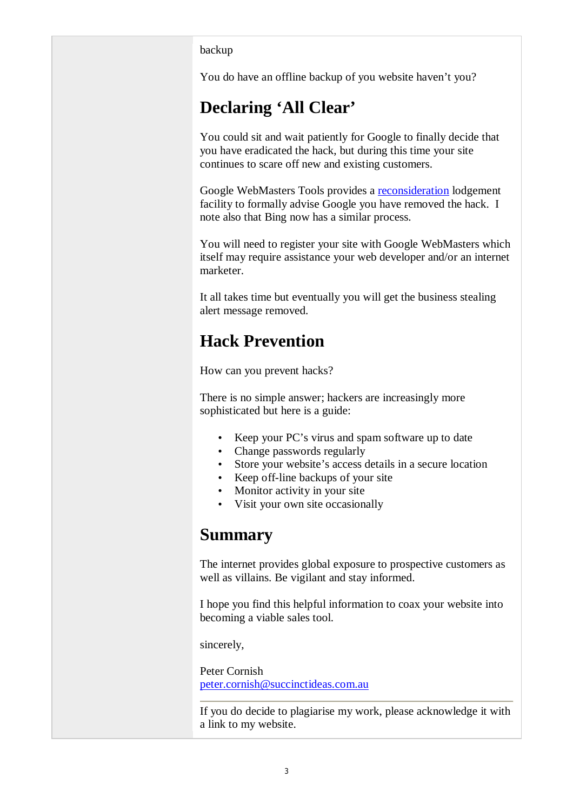## backup

You do have an offline backup of you website haven't you?

# **Declaring 'All Clear'**

You could sit and wait patiently for Google to finally decide that you have eradicated the hack, but during this time your site continues to scare off new and existing customers.

Google WebMasters Tools provides a reconsideration lodgement facility to formally advise Google you have removed the hack. I note also that Bing now has a similar process.

You will need to register your site with Google WebMasters which itself may require assistance your web developer and/or an internet marketer.

It all takes time but eventually you will get the business stealing alert message removed.

# **Hack Prevention**

How can you prevent hacks?

There is no simple answer; hackers are increasingly more sophisticated but here is a guide:

- Keep your PC's virus and spam software up to date
- Change passwords regularly
- Store your website's access details in a secure location
- Keep off-line backups of your site
- Monitor activity in your site
- Visit your own site occasionally

## **Summary**

The internet provides global exposure to prospective customers as well as villains. Be vigilant and stay informed.

I hope you find this helpful information to coax your website into becoming a viable sales tool.

sincerely,

Peter Cornish [peter.cornish@succinctideas.com.au](mailto:peter.cornish@succinctideas.com.au) 

If you do decide to plagiarise my work, please acknowledge it with a link to my website.